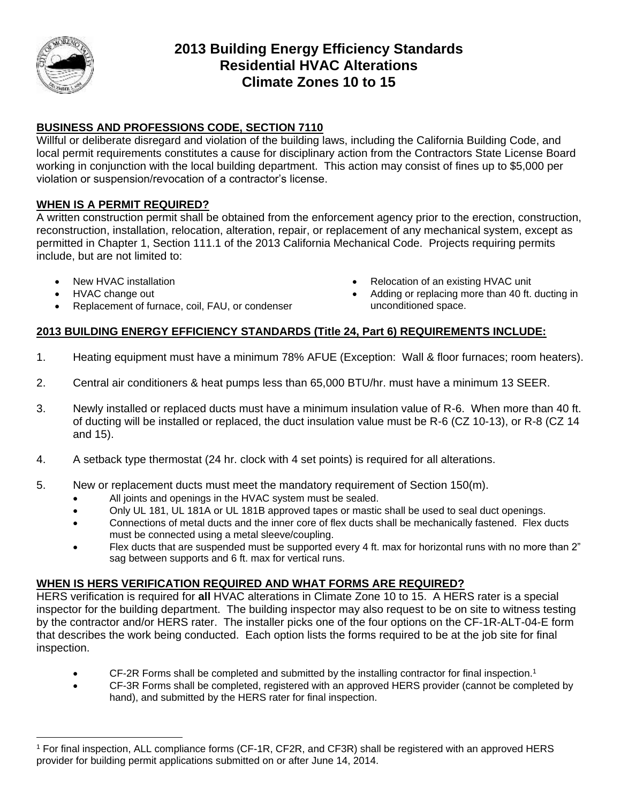

# **2013 Building Energy Efficiency Standards Residential HVAC Alterations Climate Zones 10 to 15**

## **BUSINESS AND PROFESSIONS CODE, SECTION 7110**

Willful or deliberate disregard and violation of the building laws, including the California Building Code, and local permit requirements constitutes a cause for disciplinary action from the Contractors State License Board working in conjunction with the local building department. This action may consist of fines up to \$5,000 per violation or suspension/revocation of a contractor's license.

### **WHEN IS A PERMIT REQUIRED?**

A written construction permit shall be obtained from the enforcement agency prior to the erection, construction, reconstruction, installation, relocation, alteration, repair, or replacement of any mechanical system, except as permitted in Chapter 1, Section 111.1 of the 2013 California Mechanical Code. Projects requiring permits include, but are not limited to:

- 
- 

 $\overline{a}$ 

- Replacement of furnace, coil, FAU, or condenser **unconditioned** space.
- New HVAC installation **New HVAC installation Relocation** of an existing HVAC unit
- HVAC change out **Adding or replacing more than 40 ft. ducting in**

### **2013 BUILDING ENERGY EFFICIENCY STANDARDS (Title 24, Part 6) REQUIREMENTS INCLUDE:**

- 1. Heating equipment must have a minimum 78% AFUE (Exception: Wall & floor furnaces; room heaters).
- 2. Central air conditioners & heat pumps less than 65,000 BTU/hr. must have a minimum 13 SEER.
- 3. Newly installed or replaced ducts must have a minimum insulation value of R-6. When more than 40 ft. of ducting will be installed or replaced, the duct insulation value must be R-6 (CZ 10-13), or R-8 (CZ 14 and 15).
- 4. A setback type thermostat (24 hr. clock with 4 set points) is required for all alterations.
- 5. New or replacement ducts must meet the mandatory requirement of Section 150(m).
	- All joints and openings in the HVAC system must be sealed.
	- Only UL 181, UL 181A or UL 181B approved tapes or mastic shall be used to seal duct openings.
	- Connections of metal ducts and the inner core of flex ducts shall be mechanically fastened. Flex ducts must be connected using a metal sleeve/coupling.
	- Flex ducts that are suspended must be supported every 4 ft. max for horizontal runs with no more than 2" sag between supports and 6 ft. max for vertical runs.

#### **WHEN IS HERS VERIFICATION REQUIRED AND WHAT FORMS ARE REQUIRED?**

HERS verification is required for **all** HVAC alterations in Climate Zone 10 to 15. A HERS rater is a special inspector for the building department. The building inspector may also request to be on site to witness testing by the contractor and/or HERS rater. The installer picks one of the four options on the CF-1R-ALT-04-E form that describes the work being conducted. Each option lists the forms required to be at the job site for final inspection.

- CF-2R Forms shall be completed and submitted by the installing contractor for final inspection.<sup>1</sup>
- CF-3R Forms shall be completed, registered with an approved HERS provider (cannot be completed by hand), and submitted by the HERS rater for final inspection.

<sup>1</sup> For final inspection, ALL compliance forms (CF-1R, CF2R, and CF3R) shall be registered with an approved HERS provider for building permit applications submitted on or after June 14, 2014.